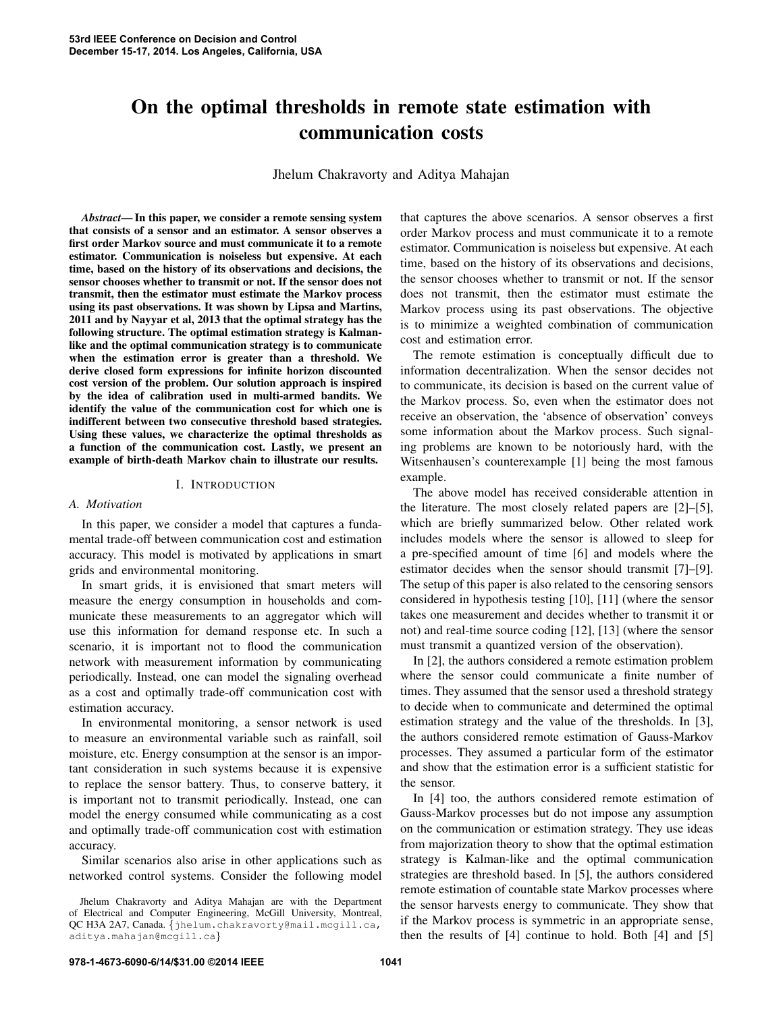# On the optimal thresholds in remote state estimation with communication costs

Jhelum Chakravorty and Aditya Mahajan

*Abstract*— In this paper, we consider a remote sensing system that consists of a sensor and an estimator. A sensor observes a first order Markov source and must communicate it to a remote estimator. Communication is noiseless but expensive. At each time, based on the history of its observations and decisions, the sensor chooses whether to transmit or not. If the sensor does not transmit, then the estimator must estimate the Markov process using its past observations. It was shown by Lipsa and Martins, 2011 and by Nayyar et al, 2013 that the optimal strategy has the following structure. The optimal estimation strategy is Kalmanlike and the optimal communication strategy is to communicate when the estimation error is greater than a threshold. We derive closed form expressions for infinite horizon discounted cost version of the problem. Our solution approach is inspired by the idea of calibration used in multi-armed bandits. We identify the value of the communication cost for which one is indifferent between two consecutive threshold based strategies. Using these values, we characterize the optimal thresholds as a function of the communication cost. Lastly, we present an example of birth-death Markov chain to illustrate our results.

#### I. INTRODUCTION

### *A. Motivation*

In this paper, we consider a model that captures a fundamental trade-off between communication cost and estimation accuracy. This model is motivated by applications in smart grids and environmental monitoring.

In smart grids, it is envisioned that smart meters will measure the energy consumption in households and communicate these measurements to an aggregator which will use this information for demand response etc. In such a scenario, it is important not to flood the communication network with measurement information by communicating periodically. Instead, one can model the signaling overhead as a cost and optimally trade-off communication cost with estimation accuracy.

In environmental monitoring, a sensor network is used to measure an environmental variable such as rainfall, soil moisture, etc. Energy consumption at the sensor is an important consideration in such systems because it is expensive to replace the sensor battery. Thus, to conserve battery, it is important not to transmit periodically. Instead, one can model the energy consumed while communicating as a cost and optimally trade-off communication cost with estimation accuracy.

Similar scenarios also arise in other applications such as networked control systems. Consider the following model that captures the above scenarios. A sensor observes a first order Markov process and must communicate it to a remote estimator. Communication is noiseless but expensive. At each time, based on the history of its observations and decisions, the sensor chooses whether to transmit or not. If the sensor does not transmit, then the estimator must estimate the Markov process using its past observations. The objective is to minimize a weighted combination of communication cost and estimation error.

The remote estimation is conceptually difficult due to information decentralization. When the sensor decides not to communicate, its decision is based on the current value of the Markov process. So, even when the estimator does not receive an observation, the 'absence of observation' conveys some information about the Markov process. Such signaling problems are known to be notoriously hard, with the Witsenhausen's counterexample [1] being the most famous example.

The above model has received considerable attention in the literature. The most closely related papers are [2]–[5], which are briefly summarized below. Other related work includes models where the sensor is allowed to sleep for a pre-specified amount of time [6] and models where the estimator decides when the sensor should transmit [7]–[9]. The setup of this paper is also related to the censoring sensors considered in hypothesis testing [10], [11] (where the sensor takes one measurement and decides whether to transmit it or not) and real-time source coding [12], [13] (where the sensor must transmit a quantized version of the observation).

In [2], the authors considered a remote estimation problem where the sensor could communicate a finite number of times. They assumed that the sensor used a threshold strategy to decide when to communicate and determined the optimal estimation strategy and the value of the thresholds. In [3], the authors considered remote estimation of Gauss-Markov processes. They assumed a particular form of the estimator and show that the estimation error is a sufficient statistic for the sensor.

In [4] too, the authors considered remote estimation of Gauss-Markov processes but do not impose any assumption on the communication or estimation strategy. They use ideas from majorization theory to show that the optimal estimation strategy is Kalman-like and the optimal communication strategies are threshold based. In [5], the authors considered remote estimation of countable state Markov processes where the sensor harvests energy to communicate. They show that if the Markov process is symmetric in an appropriate sense, then the results of [4] continue to hold. Both [4] and [5]

Jhelum Chakravorty and Aditya Mahajan are with the Department of Electrical and Computer Engineering, McGill University, Montreal, QC H3A 2A7, Canada. {jhelum.chakravorty@mail.mcgill.ca, aditya.mahajan@mcgill.ca}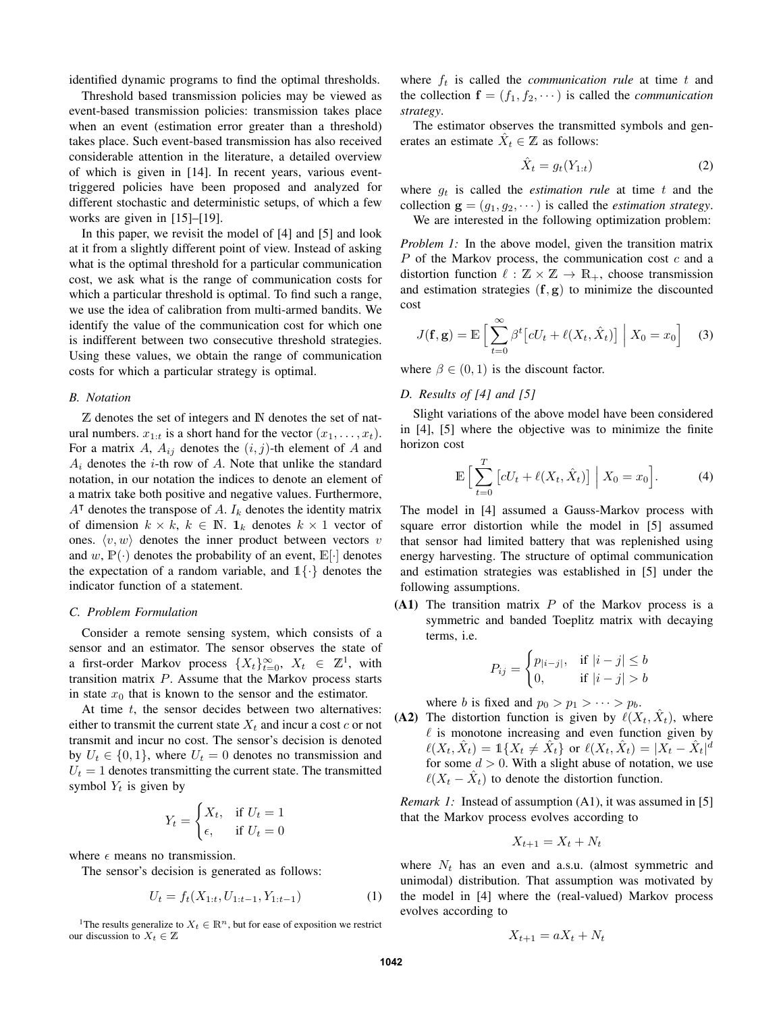identified dynamic programs to find the optimal thresholds.

Threshold based transmission policies may be viewed as event-based transmission policies: transmission takes place when an event (estimation error greater than a threshold) takes place. Such event-based transmission has also received considerable attention in the literature, a detailed overview of which is given in [14]. In recent years, various eventtriggered policies have been proposed and analyzed for different stochastic and deterministic setups, of which a few works are given in [15]–[19].

In this paper, we revisit the model of [4] and [5] and look at it from a slightly different point of view. Instead of asking what is the optimal threshold for a particular communication cost, we ask what is the range of communication costs for which a particular threshold is optimal. To find such a range, we use the idea of calibration from multi-armed bandits. We identify the value of the communication cost for which one is indifferent between two consecutive threshold strategies. Using these values, we obtain the range of communication costs for which a particular strategy is optimal.

#### *B. Notation*

 $\mathbb Z$  denotes the set of integers and  $\mathbb N$  denotes the set of natural numbers.  $x_{1:t}$  is a short hand for the vector  $(x_1, \ldots, x_t)$ . For a matrix A,  $A_{ij}$  denotes the  $(i, j)$ -th element of A and  $A_i$  denotes the *i*-th row of A. Note that unlike the standard notation, in our notation the indices to denote an element of a matrix take both positive and negative values. Furthermore,  $A^{\dagger}$  denotes the transpose of A.  $I_k$  denotes the identity matrix of dimension  $k \times k$ ,  $k \in \mathbb{N}$ .  $\mathbf{1}_k$  denotes  $k \times 1$  vector of ones.  $\langle v, w \rangle$  denotes the inner product between vectors v and w,  $\mathbb{P}(\cdot)$  denotes the probability of an event,  $\mathbb{E}[\cdot]$  denotes the expectation of a random variable, and  $1\{\cdot\}$  denotes the indicator function of a statement.

## *C. Problem Formulation*

Consider a remote sensing system, which consists of a sensor and an estimator. The sensor observes the state of a first-order Markov process  $\{X_t\}_{t=0}^{\infty}$ ,  $X_t \in \mathbb{Z}^1$ , with transition matrix P. Assume that the Markov process starts in state  $x_0$  that is known to the sensor and the estimator.

At time  $t$ , the sensor decides between two alternatives: either to transmit the current state  $X_t$  and incur a cost c or not transmit and incur no cost. The sensor's decision is denoted by  $U_t \in \{0, 1\}$ , where  $U_t = 0$  denotes no transmission and  $U_t = 1$  denotes transmitting the current state. The transmitted symbol  $Y_t$  is given by

$$
Y_t = \begin{cases} X_t, & \text{if } U_t = 1\\ \epsilon, & \text{if } U_t = 0 \end{cases}
$$

where  $\epsilon$  means no transmission.

The sensor's decision is generated as follows:

$$
U_t = f_t(X_{1:t}, U_{1:t-1}, Y_{1:t-1})
$$
\n<sup>(1)</sup>

<sup>1</sup>The results generalize to  $X_t \in \mathbb{R}^n$ , but for ease of exposition we restrict our discussion to  $X_t \in \mathbb{Z}$ 

where  $f_t$  is called the *communication rule* at time  $t$  and the collection  $f = (f_1, f_2, \dots)$  is called the *communication strategy*.

The estimator observes the transmitted symbols and generates an estimate  $\hat{X}_t \in \mathbb{Z}$  as follows:

$$
\hat{X}_t = g_t(Y_{1:t})
$$
\n(2)

where  $g_t$  is called the *estimation rule* at time  $t$  and the collection  $\mathbf{g} = (g_1, g_2, \dots)$  is called the *estimation strategy*. We are interested in the following optimization problem:

*Problem 1:* In the above model, given the transition matrix  $P$  of the Markov process, the communication cost  $c$  and a distortion function  $\ell : \mathbb{Z} \times \mathbb{Z} \to \mathbb{R}_+$ , choose transmission and estimation strategies  $(f, g)$  to minimize the discounted cost

$$
J(\mathbf{f}, \mathbf{g}) = \mathbb{E}\left[\sum_{t=0}^{\infty} \beta^t \left[cU_t + \ell(X_t, \hat{X}_t)\right] \middle| X_0 = x_0\right]
$$
 (3)

where  $\beta \in (0, 1)$  is the discount factor.

# *D. Results of [4] and [5]*

Slight variations of the above model have been considered in [4], [5] where the objective was to minimize the finite horizon cost

$$
\mathbb{E}\left[\sum_{t=0}^{T} \left[cU_t + \ell(X_t, \hat{X}_t)\right] \middle| X_0 = x_0\right].
$$
 (4)

The model in [4] assumed a Gauss-Markov process with square error distortion while the model in [5] assumed that sensor had limited battery that was replenished using energy harvesting. The structure of optimal communication and estimation strategies was established in [5] under the following assumptions.

(A1) The transition matrix  $P$  of the Markov process is a symmetric and banded Toeplitz matrix with decaying terms, i.e.

$$
P_{ij} = \begin{cases} p_{|i-j|}, & \text{if } |i-j| \le b \\ 0, & \text{if } |i-j| > b \end{cases}
$$

where b is fixed and  $p_0 > p_1 > \cdots > p_b$ .

(A2) The distortion function is given by  $\ell(X_t, \hat{X}_t)$ , where  $\ell$  is monotone increasing and even function given by  $\ell(X_t, \hat{X}_t) = \mathbb{1}\{X_t \neq \hat{X}_t\}$  or  $\ell(X_t, \hat{X}_t) = |X_t - \hat{X}_t|^d$ for some  $d > 0$ . With a slight abuse of notation, we use  $\ell(X_t - \hat{X}_t)$  to denote the distortion function.

*Remark 1:* Instead of assumption (A1), it was assumed in [5] that the Markov process evolves according to

$$
X_{t+1} = X_t + N_t
$$

where  $N_t$  has an even and a.s.u. (almost symmetric and unimodal) distribution. That assumption was motivated by the model in [4] where the (real-valued) Markov process evolves according to

$$
X_{t+1} = aX_t + N_t
$$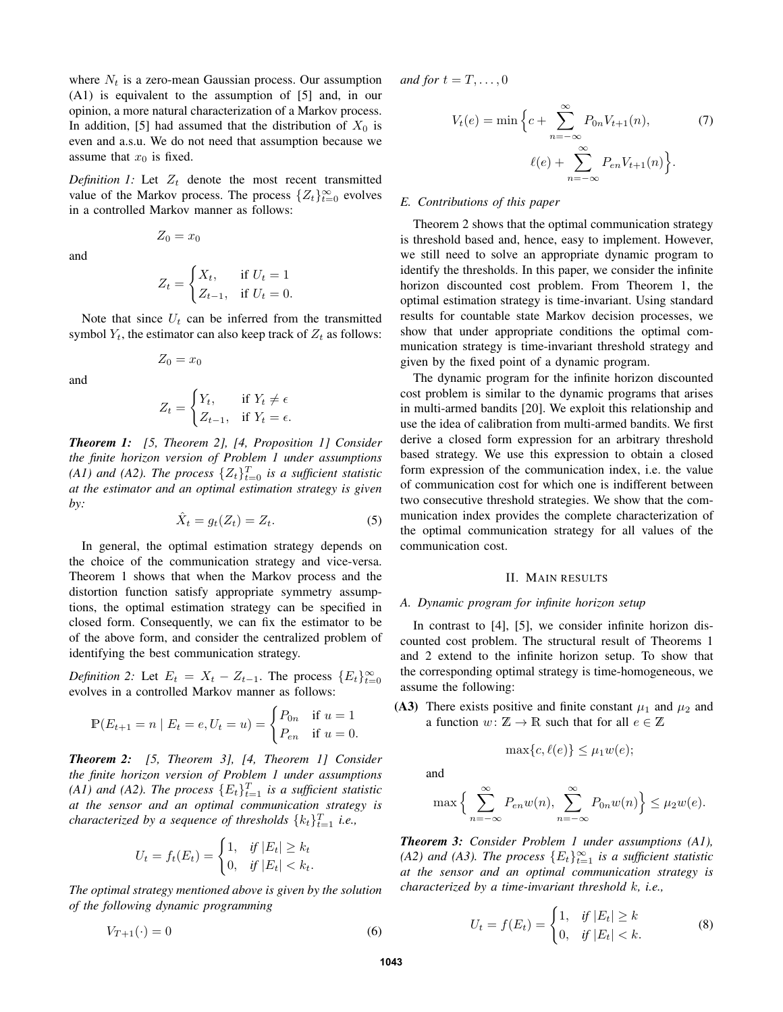where  $N_t$  is a zero-mean Gaussian process. Our assumption (A1) is equivalent to the assumption of [5] and, in our opinion, a more natural characterization of a Markov process. In addition, [5] had assumed that the distribution of  $X_0$  is even and a.s.u. We do not need that assumption because we assume that  $x_0$  is fixed.

*Definition 1:* Let  $Z_t$  denote the most recent transmitted value of the Markov process. The process  $\{Z_t\}_{t=0}^\infty$  evolves in a controlled Markov manner as follows:

and

$$
\mathcal{L}^{\mathcal{L}}(\mathcal{L}^{\mathcal{L}})
$$

 $Z_0 = x_0$ 

$$
Z_t = \begin{cases} X_t, & \text{if } U_t = 1\\ Z_{t-1}, & \text{if } U_t = 0. \end{cases}
$$

Note that since  $U_t$  can be inferred from the transmitted symbol  $Y_t$ , the estimator can also keep track of  $Z_t$  as follows:

$$
Z_0 = x_0
$$

and

$$
Z_t = \begin{cases} Y_t, & \text{if } Y_t \neq \epsilon \\ Z_{t-1}, & \text{if } Y_t = \epsilon. \end{cases}
$$

*Theorem 1: [5, Theorem 2], [4, Proposition 1] Consider the finite horizon version of Problem 1 under assumptions (A1) and (A2). The process*  $\{Z_t\}_{t=0}^T$  *is a sufficient statistic at the estimator and an optimal estimation strategy is given by:*

$$
\hat{X}_t = g_t(Z_t) = Z_t.
$$
\n(5)

In general, the optimal estimation strategy depends on the choice of the communication strategy and vice-versa. Theorem 1 shows that when the Markov process and the distortion function satisfy appropriate symmetry assumptions, the optimal estimation strategy can be specified in closed form. Consequently, we can fix the estimator to be of the above form, and consider the centralized problem of identifying the best communication strategy.

*Definition 2:* Let  $E_t = X_t - Z_{t-1}$ . The process  $\{E_t\}_{t=0}^{\infty}$ evolves in a controlled Markov manner as follows:

$$
\mathbb{P}(E_{t+1} = n \mid E_t = e, U_t = u) = \begin{cases} P_{0n} & \text{if } u = 1 \\ P_{en} & \text{if } u = 0. \end{cases}
$$

*Theorem 2: [5, Theorem 3], [4, Theorem 1] Consider the finite horizon version of Problem 1 under assumptions (A1) and (A2). The process*  ${E_t}_{t=1}^T$  *is a sufficient statistic at the sensor and an optimal communication strategy is characterized by a sequence of thresholds*  $\{k_t\}_{t=1}^T$  *i.e.,* 

$$
U_t = f_t(E_t) = \begin{cases} 1, & \text{if } |E_t| \ge k_t \\ 0, & \text{if } |E_t| < k_t. \end{cases}
$$

*The optimal strategy mentioned above is given by the solution of the following dynamic programming*

$$
V_{T+1}(\cdot) = 0\tag{6}
$$

*and for*  $t = T, \ldots, 0$ 

$$
V_t(e) = \min\Big\{c + \sum_{n=-\infty}^{\infty} P_{0n}V_{t+1}(n),
$$
\n
$$
\ell(e) + \sum_{n=-\infty}^{\infty} P_{en}V_{t+1}(n)\Big\}.
$$
\n(7)

## *E. Contributions of this paper*

Theorem 2 shows that the optimal communication strategy is threshold based and, hence, easy to implement. However, we still need to solve an appropriate dynamic program to identify the thresholds. In this paper, we consider the infinite horizon discounted cost problem. From Theorem 1, the optimal estimation strategy is time-invariant. Using standard results for countable state Markov decision processes, we show that under appropriate conditions the optimal communication strategy is time-invariant threshold strategy and given by the fixed point of a dynamic program.

The dynamic program for the infinite horizon discounted cost problem is similar to the dynamic programs that arises in multi-armed bandits [20]. We exploit this relationship and use the idea of calibration from multi-armed bandits. We first derive a closed form expression for an arbitrary threshold based strategy. We use this expression to obtain a closed form expression of the communication index, i.e. the value of communication cost for which one is indifferent between two consecutive threshold strategies. We show that the communication index provides the complete characterization of the optimal communication strategy for all values of the communication cost.

#### II. MAIN RESULTS

## *A. Dynamic program for infinite horizon setup*

In contrast to [4], [5], we consider infinite horizon discounted cost problem. The structural result of Theorems 1 and 2 extend to the infinite horizon setup. To show that the corresponding optimal strategy is time-homogeneous, we assume the following:

(A3) There exists positive and finite constant  $\mu_1$  and  $\mu_2$  and a function  $w: \mathbb{Z} \to \mathbb{R}$  such that for all  $e \in \mathbb{Z}$ 

and

$$
\max\Big\{\sum_{n=-\infty}^{\infty} P_{en}w(n), \sum_{n=-\infty}^{\infty} P_{0n}w(n)\Big\} \le \mu_2 w(e).
$$

 $\max\{c, \ell(e)\} \leq \mu_1 w(e);$ 

*Theorem 3: Consider Problem 1 under assumptions (A1), (A2) and (A3). The process*  ${E_t}_{t=1}^{\infty}$  *is a sufficient statistic at the sensor and an optimal communication strategy is characterized by a time-invariant threshold* k*, i.e.,*

$$
U_t = f(E_t) = \begin{cases} 1, & \text{if } |E_t| \ge k \\ 0, & \text{if } |E_t| < k. \end{cases}
$$
 (8)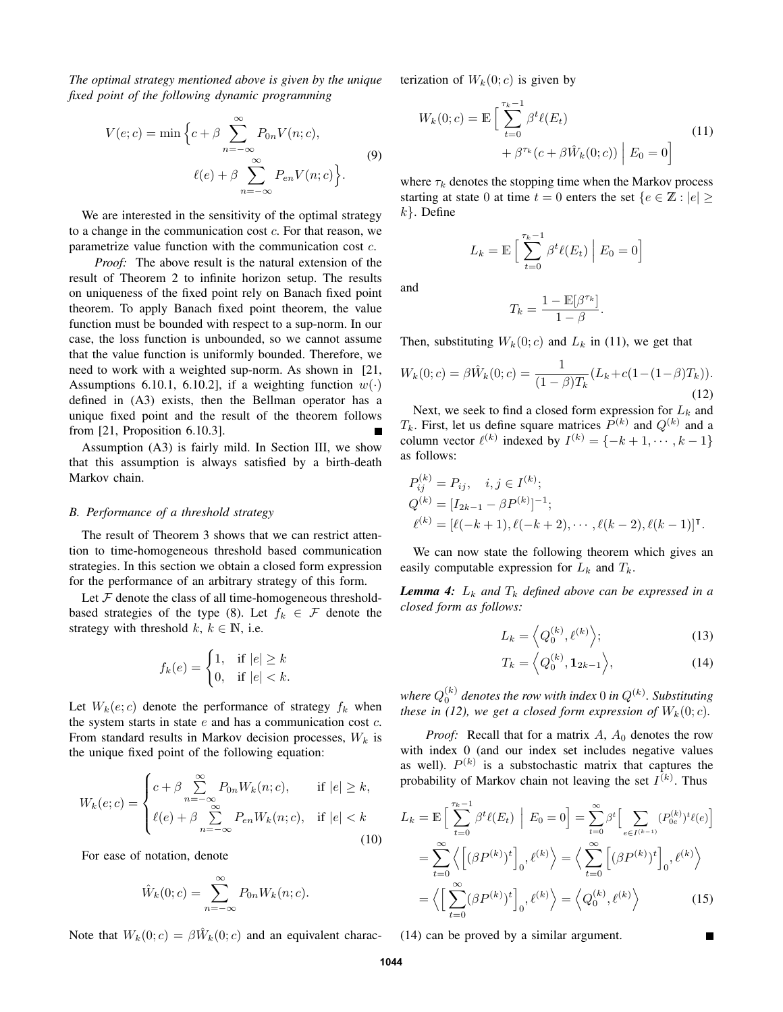*The optimal strategy mentioned above is given by the unique fixed point of the following dynamic programming*

$$
V(e; c) = \min \left\{ c + \beta \sum_{n = -\infty}^{\infty} P_{0n} V(n; c), \right\}
$$
  

$$
\ell(e) + \beta \sum_{n = -\infty}^{\infty} P_{en} V(n; c) \right\}.
$$
  
(9)

We are interested in the sensitivity of the optimal strategy to a change in the communication cost  $c$ . For that reason, we parametrize value function with the communication cost c.

*Proof:* The above result is the natural extension of the result of Theorem 2 to infinite horizon setup. The results on uniqueness of the fixed point rely on Banach fixed point theorem. To apply Banach fixed point theorem, the value function must be bounded with respect to a sup-norm. In our case, the loss function is unbounded, so we cannot assume that the value function is uniformly bounded. Therefore, we need to work with a weighted sup-norm. As shown in [21, Assumptions 6.10.1, 6.10.2], if a weighting function  $w(\cdot)$ defined in (A3) exists, then the Bellman operator has a unique fixed point and the result of the theorem follows from [21, Proposition 6.10.3].

Assumption (A3) is fairly mild. In Section III, we show that this assumption is always satisfied by a birth-death Markov chain.

## *B. Performance of a threshold strategy*

The result of Theorem 3 shows that we can restrict attention to time-homogeneous threshold based communication strategies. In this section we obtain a closed form expression for the performance of an arbitrary strategy of this form.

Let  $F$  denote the class of all time-homogeneous thresholdbased strategies of the type (8). Let  $f_k \in \mathcal{F}$  denote the strategy with threshold  $k, k \in \mathbb{N}$ , i.e.

$$
f_k(e) = \begin{cases} 1, & \text{if } |e| \ge k \\ 0, & \text{if } |e| < k. \end{cases}
$$

Let  $W_k(e; c)$  denote the performance of strategy  $f_k$  when the system starts in state  $e$  and has a communication cost  $c$ . From standard results in Markov decision processes,  $W_k$  is the unique fixed point of the following equation:

$$
W_k(e;c) = \begin{cases} c + \beta \sum_{n = -\infty}^{\infty} P_{0n} W_k(n;c), & \text{if } |e| \ge k, \\ \ell(e) + \beta \sum_{n = -\infty}^{\infty} P_{en} W_k(n;c), & \text{if } |e| < k \end{cases}
$$
(10)

For ease of notation, denote

$$
\hat{W}_k(0;c) = \sum_{n=-\infty}^{\infty} P_{0n} W_k(n;c).
$$

Note that  $W_k(0; c) = \beta \hat{W}_k(0; c)$  and an equivalent charac-

terization of  $W_k(0; c)$  is given by

$$
W_k(0; c) = \mathbb{E}\left[\sum_{t=0}^{\tau_k - 1} \beta^t \ell(E_t) + \beta^{\tau_k}(c + \beta \hat{W}_k(0; c)) \middle| E_0 = 0\right]
$$
\n(11)

where  $\tau_k$  denotes the stopping time when the Markov process starting at state 0 at time  $t = 0$  enters the set  $\{e \in \mathbb{Z} : |e| \geq 1\}$  $k$ . Define

$$
L_k = \mathbb{E}\left[\sum_{t=0}^{\tau_k - 1} \beta^t \ell(E_t) \middle| E_0 = 0\right]
$$

and

$$
T_k = \frac{1 - \mathbb{E}[\beta^{\tau_k}]}{1 - \beta}.
$$

Then, substituting  $W_k(0; c)$  and  $L_k$  in (11), we get that

$$
W_k(0;c) = \beta \hat{W}_k(0;c) = \frac{1}{(1-\beta)T_k} (L_k + c(1 - (1-\beta)T_k)).
$$
\n(12)

Next, we seek to find a closed form expression for  $L_k$  and  $T_k$ . First, let us define square matrices  $P^{(k)}$  and  $Q^{(k)}$  and a column vector  $\ell^{(k)}$  indexed by  $I^{(k)} = \{-k+1, \dots, k-1\}$ as follows:

$$
P_{ij}^{(k)} = P_{ij}, \quad i, j \in I^{(k)};
$$
  
\n
$$
Q^{(k)} = [I_{2k-1} - \beta P^{(k)}]^{-1};
$$
  
\n
$$
\ell^{(k)} = [\ell(-k+1), \ell(-k+2), \cdots, \ell(k-2), \ell(k-1)]^{\mathsf{T}}.
$$

We can now state the following theorem which gives an easily computable expression for  $L_k$  and  $T_k$ .

**Lemma 4:**  $L_k$  and  $T_k$  defined above can be expressed in a *closed form as follows:*

$$
L_k = \left\langle Q_0^{(k)}, \ell^{(k)} \right\rangle; \tag{13}
$$

$$
T_k = \left\langle Q_0^{(k)}, \mathbf{1}_{2k-1} \right\rangle,\tag{14}
$$

where  $Q_0^{(k)}$  denotes the row with index  $0$  in  $Q^{(k)}$ . Substituting *these in (12), we get a closed form expression of*  $W_k(0; c)$ *.* 

*Proof:* Recall that for a matrix  $A$ ,  $A_0$  denotes the row with index 0 (and our index set includes negative values as well).  $P^{(k)}$  is a substochastic matrix that captures the probability of Markov chain not leaving the set  $I^{(k)}$ . Thus

$$
L_k = \mathbb{E}\Big[\sum_{t=0}^{\tau_k - 1} \beta^t \ell(E_t) \Big| E_0 = 0\Big] = \sum_{t=0}^{\infty} \beta^t \Big[\sum_{e \in I^{(k-1)}} (P_{0e}^{(k)})^t \ell(e)\Big]
$$

$$
= \sum_{t=0}^{\infty} \Big\langle \Big[ (\beta P^{(k)})^t \Big]_0, \ell^{(k)} \Big\rangle = \Big\langle \sum_{t=0}^{\infty} \Big[ (\beta P^{(k)})^t \Big]_0, \ell^{(k)} \Big\rangle
$$

$$
= \Big\langle \Big[ \sum_{t=0}^{\infty} (\beta P^{(k)})^t \Big]_0, \ell^{(k)} \Big\rangle = \Big\langle Q_0^{(k)}, \ell^{(k)} \Big\rangle \tag{15}
$$

(14) can be proved by a similar argument.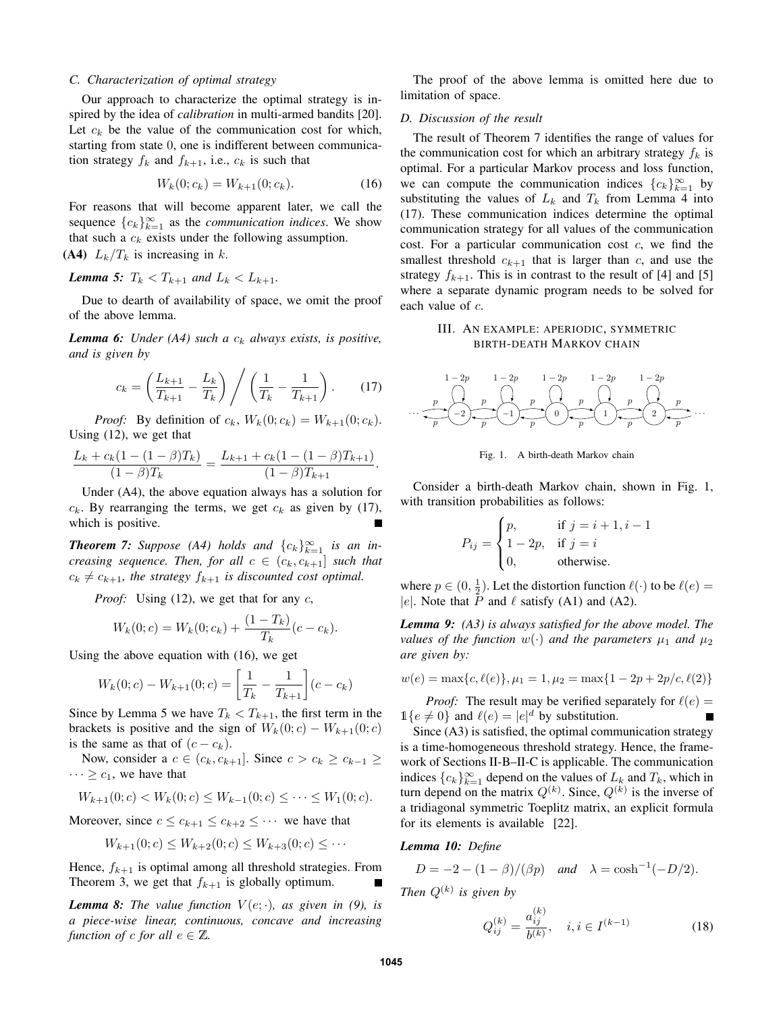#### *C. Characterization of optimal strategy*

Our approach to characterize the optimal strategy is inspired by the idea of *calibration* in multi-armed bandits [20]. Let  $c_k$  be the value of the communication cost for which, starting from state 0, one is indifferent between communication strategy  $f_k$  and  $f_{k+1}$ , i.e.,  $c_k$  is such that

$$
W_k(0; c_k) = W_{k+1}(0; c_k).
$$
 (16)

For reasons that will become apparent later, we call the sequence  ${c_k}_{k=1}^{\infty}$  as the *communication indices*. We show that such a  $c_k$  exists under the following assumption.

(A4)  $L_k/T_k$  is increasing in k.

*Lemma 5:*  $T_k < T_{k+1}$  *and*  $L_k < L_{k+1}$ *.* 

Due to dearth of availability of space, we omit the proof of the above lemma.

**Lemma 6:** *Under* (A4) such a  $c_k$  *always exists, is positive, and is given by*

$$
c_k = \left(\frac{L_{k+1}}{T_{k+1}} - \frac{L_k}{T_k}\right) / \left(\frac{1}{T_k} - \frac{1}{T_{k+1}}\right). \tag{17}
$$

*Proof:* By definition of  $c_k$ ,  $W_k(0; c_k) = W_{k+1}(0; c_k)$ . Using (12), we get that

$$
\frac{L_k + c_k(1 - (1 - \beta)T_k)}{(1 - \beta)T_k} = \frac{L_{k+1} + c_k(1 - (1 - \beta)T_{k+1})}{(1 - \beta)T_{k+1}}.
$$

Under (A4), the above equation always has a solution for  $c_k$ . By rearranging the terms, we get  $c_k$  as given by (17), which is positive.

**Theorem 7:** Suppose (A4) holds and  ${c_k}_{k=1}^{\infty}$  is an in*creasing sequence. Then, for all*  $c \in (c_k, c_{k+1}]$  *such that*  $c_k \neq c_{k+1}$ *, the strategy*  $f_{k+1}$  *is discounted cost optimal.* 

*Proof:* Using (12), we get that for any c,

$$
W_k(0; c) = W_k(0; c_k) + \frac{(1 - T_k)}{T_k}(c - c_k).
$$

Using the above equation with (16), we get

$$
W_k(0; c) - W_{k+1}(0; c) = \left[\frac{1}{T_k} - \frac{1}{T_{k+1}}\right](c - c_k)
$$

Since by Lemma 5 we have  $T_k < T_{k+1}$ , the first term in the brackets is positive and the sign of  $W_k(0; c) - W_{k+1}(0; c)$ is the same as that of  $(c - c_k)$ .

Now, consider a  $c \in (c_k, c_{k+1}]$ . Since  $c > c_k \geq c_{k-1} \geq$  $\cdots \geq c_1$ , we have that

$$
W_{k+1}(0;c) < W_k(0;c) \le W_{k-1}(0;c) \le \cdots \le W_1(0;c).
$$

Moreover, since  $c \le c_{k+1} \le c_{k+2} \le \cdots$  we have that

$$
W_{k+1}(0;c) \le W_{k+2}(0;c) \le W_{k+3}(0;c) \le \cdots
$$

Hence,  $f_{k+1}$  is optimal among all threshold strategies. From Theorem 3, we get that  $f_{k+1}$  is globally optimum.

*Lemma 8: The value function*  $V(e; \cdot)$ *, as given in (9), is a piece-wise linear, continuous, concave and increasing function of c for all*  $e \in \mathbb{Z}$ *.* 

The proof of the above lemma is omitted here due to limitation of space.

#### *D. Discussion of the result*

The result of Theorem 7 identifies the range of values for the communication cost for which an arbitrary strategy  $f_k$  is optimal. For a particular Markov process and loss function, we can compute the communication indices  ${c_k}_{k=1}^{\infty}$  by substituting the values of  $L_k$  and  $T_k$  from Lemma 4 into (17). These communication indices determine the optimal communication strategy for all values of the communication cost. For a particular communication cost  $c$ , we find the smallest threshold  $c_{k+1}$  that is larger than c, and use the strategy  $f_{k+1}$ . This is in contrast to the result of [4] and [5] where a separate dynamic program needs to be solved for each value of  $c$ .

# III. AN EXAMPLE: APERIODIC, SYMMETRIC BIRTH-DEATH MARKOV CHAIN



Fig. 1. A birth-death Markov chain

Consider a birth-death Markov chain, shown in Fig. 1, with transition probabilities as follows:

$$
P_{ij} = \begin{cases} p, & \text{if } j = i + 1, i - 1 \\ 1 - 2p, & \text{if } j = i \\ 0, & \text{otherwise.} \end{cases}
$$

where  $p \in (0, \frac{1}{2})$ . Let the distortion function  $\ell(\cdot)$  to be  $\ell(e)$  = |e|. Note that P and  $\ell$  satisfy (A1) and (A2).

*Lemma 9: (A3) is always satisfied for the above model. The values of the function*  $w(\cdot)$  *and the parameters*  $\mu_1$  *and*  $\mu_2$ *are given by:*

$$
w(e) = \max\{c, \ell(e)\}, \mu_1 = 1, \mu_2 = \max\{1 - 2p + 2p/c, \ell(2)\}
$$

*Proof:* The result may be verified separately for  $\ell(e)$  =  $1\{e \neq 0\}$  and  $\ell(e) = |e|^d$  by substitution.

Since (A3) is satisfied, the optimal communication strategy is a time-homogeneous threshold strategy. Hence, the framework of Sections II-B–II-C is applicable. The communication indices  ${c_k}_{k=1}^{\infty}$  depend on the values of  $L_k$  and  $T_k$ , which in turn depend on the matrix  $Q^{(k)}$ . Since,  $Q^{(k)}$  is the inverse of a tridiagonal symmetric Toeplitz matrix, an explicit formula for its elements is available [22].

#### *Lemma 10: Define*

$$
D = -2 - (1 - \beta)/(\beta p) \quad \text{and} \quad \lambda = \cosh^{-1}(-D/2).
$$
  
Then  $Q^{(k)}$  is given by

$$
Q_{ij}^{(k)} = \frac{a_{ij}^{(k)}}{b^{(k)}}, \quad i, i \in I^{(k-1)}
$$
 (18)